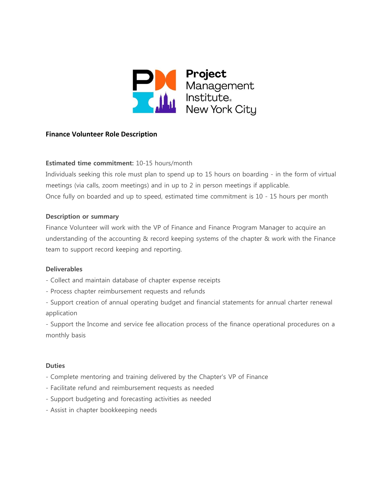

# **Finance Volunteer Role Description**

## **Estimated time commitment:** 10-15 hours/month

Individuals seeking this role must plan to spend up to 15 hours on boarding - in the form of virtual meetings (via calls, zoom meetings) and in up to 2 in person meetings if applicable. Once fully on boarded and up to speed, estimated time commitment is 10 - 15 hours per month

#### **Description or summary**

Finance Volunteer will work with the VP of Finance and Finance Program Manager to acquire an understanding of the accounting & record keeping systems of the chapter & work with the Finance team to support record keeping and reporting.

#### **Deliverables**

- Collect and maintain database of chapter expense receipts
- Process chapter reimbursement requests and refunds
- Support creation of annual operating budget and financial statements for annual charter renewal application

- Support the Income and service fee allocation process of the finance operational procedures on a monthly basis

#### **Duties**

- Complete mentoring and training delivered by the Chapter's VP of Finance
- Facilitate refund and reimbursement requests as needed
- Support budgeting and forecasting activities as needed
- Assist in chapter bookkeeping needs